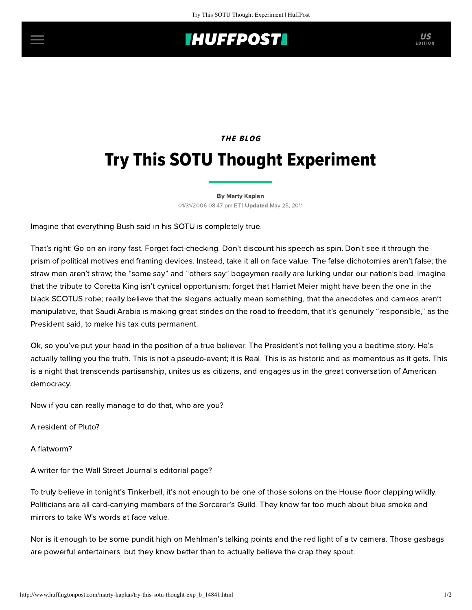## **IHUFFPOSTI** US

### THE BLOG

# Try This SOTU Thought Experiment

#### [By Marty Kaplan](http://www.huffingtonpost.com/author/marty-kaplan)

01/31/2006 08:47 pm ET | Updated May 25, 2011

Imagine that everything Bush said in his SOTU is completely true.

That's right: Go on an irony fast. Forget fact-checking. Don't discount his speech as spin. Don't see it through the prism of political motives and framing devices. Instead, take it all on face value. The false dichotomies aren't false; the straw men aren't straw; the "some say" and "others say" bogeymen really are lurking under our nation's bed. Imagine that the tribute to Coretta King isn't cynical opportunism; forget that Harriet Meier might have been the one in the black SCOTUS robe; really believe that the slogans actually mean something, that the anecdotes and cameos aren't manipulative, that Saudi Arabia is making great strides on the road to freedom, that it's genuinely "responsible," as the President said, to make his tax cuts permanent.

Ok, so you've put your head in the position of a true believer. The President's not telling you a bedtime story. He's actually telling you the truth. This is not a pseudo-event; it is Real. This is as historic and as momentous as it gets. This is a night that transcends partisanship, unites us as citizens, and engages us in the great conversation of American democracy.

Now if you can really manage to do that, who are you?

A resident of Pluto?

A flatworm?

A writer for the Wall Street Journal's editorial page?

To truly believe in tonight's Tinkerbell, it's not enough to be one of those solons on the House floor clapping wildly. Politicians are all card-carrying members of the Sorcerer's Guild. They know far too much about blue smoke and mirrors to take W's words at face value.

Nor is it enough to be some pundit high on Mehlman's talking points and the red light of a tv camera. Those gasbags are powerful entertainers, but they know better than to actually believe the crap they spout.